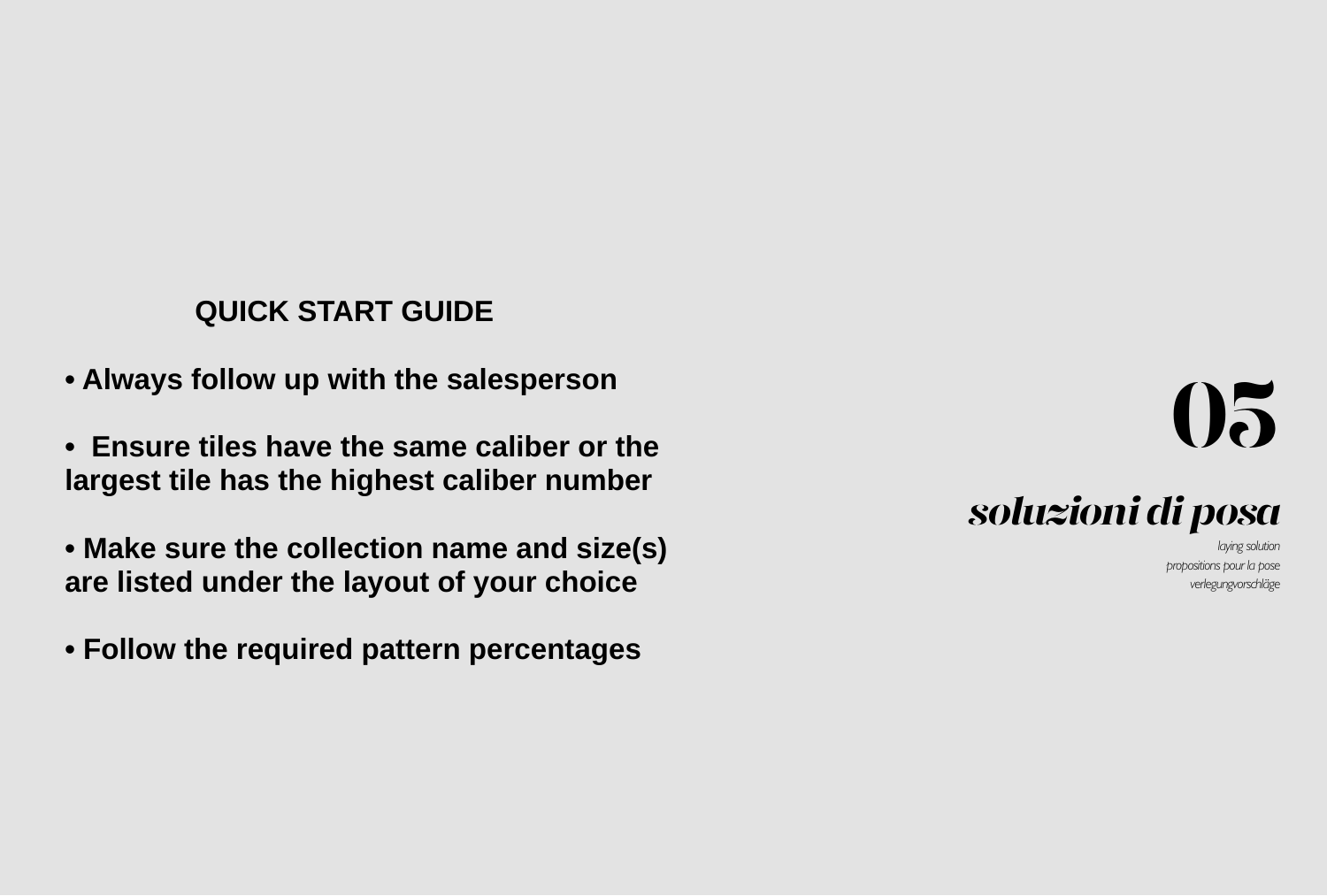# *soluzioni di posa*

*<i><u>Iaving</u>* solution *propositions pour la pose*  verlegungvorschläge



## **QUICK START GUIDE**

- **Always follow up with the salesperson**
- **Ensure tiles have the same caliber or the largest tile has the highest caliber number**
- **Make sure the collection name and size(s) are listed under the layout of your choice**
- **Follow the required pattern percentages**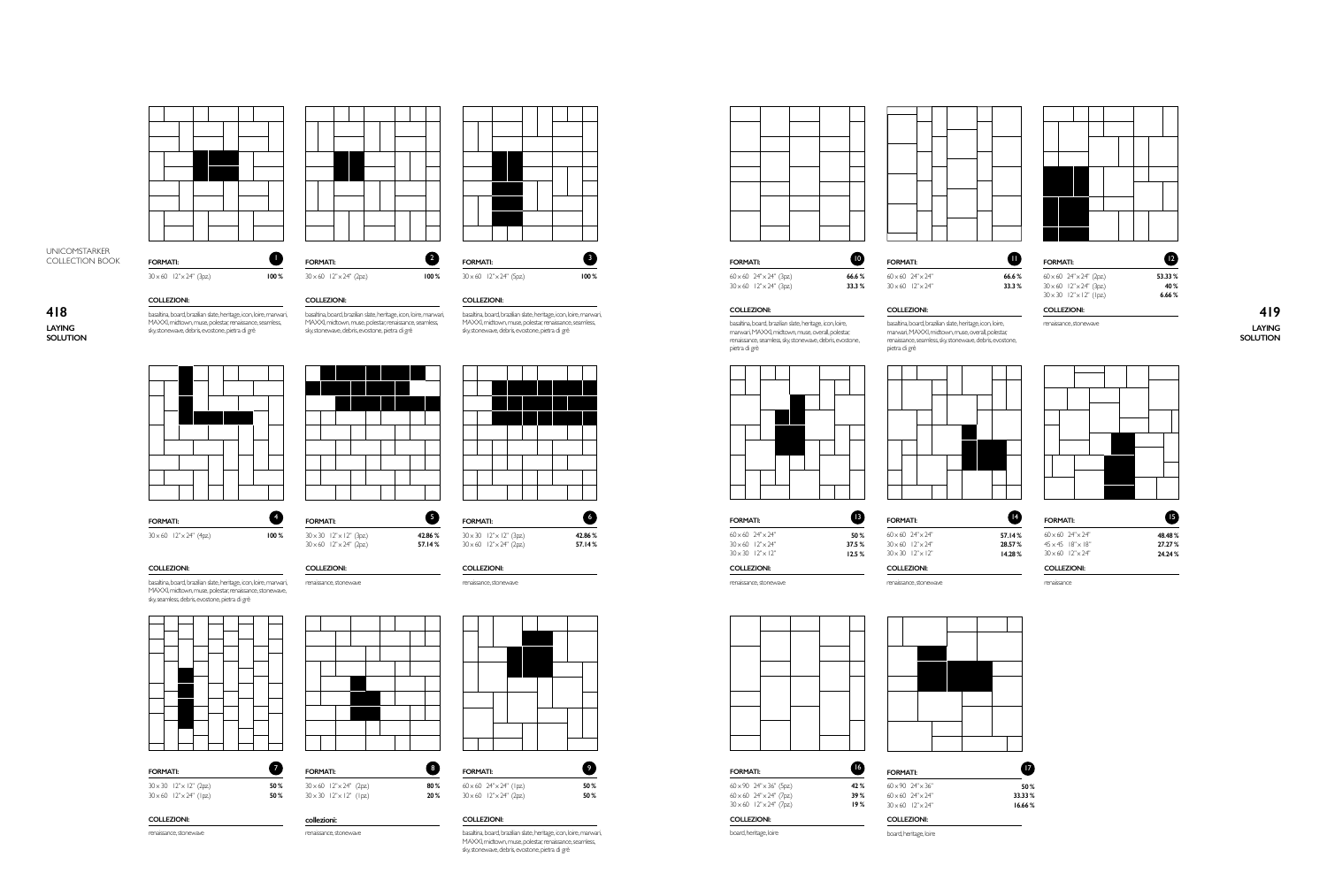



100%

 $\bullet$ 

100%

**FORMATI:** 

**COLLEZIONI:** 

**FORMATI:** 

collezioni:

 $30 \times 60$   $12" \times 24"$  (2pz)

 $30 \times 30$   $12" \times 12"$  (1pz)

renaissance, stonewave

50%

50 %

renaissance, stonewave

 $30 \times 30$   $12" \times 12"$  (3pz)

 $30 \times 60$   $12" \times 24"$  (2pz)



**FORMATI:** 

 $30 \times 60$   $12" \times 24"$  (5pz)

100%



 $30 \times 60$   $12" \times 24"$  (3pz)

**FORMATI:** 

## 418 LAYING

**SOLUTION** 







#### **COLLEZIONI:**

basaltina, board, brazilian slate, heritage, icon, loire, marwari, MAXXI, midtown, muse, polestar, renaissance, stonewave, sky, seamless, debris, evostone, pietra di grè



| <b>FORMATI:</b> |                                       |
|-----------------|---------------------------------------|
|                 | $30 \times 30$ $12" \times 12"$ (2pz) |
|                 | $30 \times 60$ $12" \times 24"$ (lpz) |

## **COLLEZIONI:**

renaissance, stonewave

**COLLEZIONI:** 

 $30 \times 60$   $12" \times 24"$  (2pz)

**FORMATI:** 

#### basaltina, board, brazilian slate, heritage, icon, loire, marwari, MAXXI, midtown, muse, polestar, renaissance, seamless, sky, stonewave, debris, evostone, pietra di grè

**COLLEZIONI:** basaltina, board, brazilian slate, heritage, icon, loire, marwari, MAXXI, midtown, muse, polestar, renaissance, seamless, sky, stonewave, debris, evostone, pietra di grè

 $\bullet$ 

100%

 $\bullet$ 

 $\bullet$ 

50%

50%

**FORMATI:**  $30 \times 30$   $12" \times 12"$  (3pz)  $30 \times 60$   $12" \times 24"$  (2pz)

42.86% 57.14%

€

42.86%

57.14%

COLLEZIONI:

## renaissance, stonewave



#### $60 \times 60$   $24" \times 24"$  (lpz) 20%  $30 \times 60$   $12" \times 24"$  (2pz)

80%

## COLLEZIONI:

basaltina, board, brazilian slate, heritage, icon, loire, marwari, MAXXI, midtown, muse, polestar, renaissance, seamless, sky, stonewave, debris, evostone, pietra di grè





FORMATI:  $60 \times 60$   $24'' \times 24''$  (3pz)  $30 \times 60$   $12" \times 24"$  (3pz)

**FORMATI:**  $60 \times 60$   $24" \times 24"$ 66.6% 33.3%  $30 \times 60$   $12" \times 24"$ 

COLLEZIONI:

pietra di grè

basaltina, board, brazilian slate, heritage, icon, loire,<br>marwari, MAXXI, midtown, muse, overall, polestar;

renaissance, seamless, sky, stonewave, debris, evostone,

 $\bullet$ 

#### COLLEZIONI:

basaltina, board, brazilian slate, heritage, icon, loire,<br>marwari, MAXXI, midtown, muse, overall, polestar; renaissance, seamless, sky, stonewave, debris, evostone, pietra di grè





**COLLEZIONI:** 

renaissance, stonewave

**FORMATI:**  $60 \times 60$  24" $\times$ 24"  $30 \times 60$   $12" \times 24"$  $30 \times 30$   $12" \times 12"$ 

12.5% **COLLEZIONI:** 

 $\bf \Phi$ 

50%

37.5%

42 %

39%

19%

renaissance, stonewave

board, heritage, loire







board, heritage, loire

**FORMATI:** 

 $60 \times 90$   $24" \times 36"$  (5pz)

 $60 \times 60$   $24" \times 24"$  (7pz)

 $30 \times 60$   $12" \times 24"$  (7pz)

COLLEZIONI:

 $\bullet$ 57.14%  $60:$ 28.57%  $45:$ 14.28%  $30<sub>1</sub>$ 



#### **FORMATI:**

 $\bf \Phi$ 

66.6%

33.3%

53.33%

40%

 $6.66\,\%$ 

#### $30 \times 60$   $12" \times 24"$  (3pz)  $30 \times 30$   $12" \times 12"$  (lpz) COLLEZIONI:

 $60 \times 60$   $24" \times 24"$  (2pz)

renaissance, stonewave

419 **LAYING** SOLUTION



#### **FORMATI:**

| $\times 60$ 24" $\times 24$ "  | 48.48% |
|--------------------------------|--------|
| $\times 45$ $18'' \times 18''$ | 27.27% |
| $\times 60$ $12" \times 24"$   | 24.24% |

## COLLEZIONI:

renaissance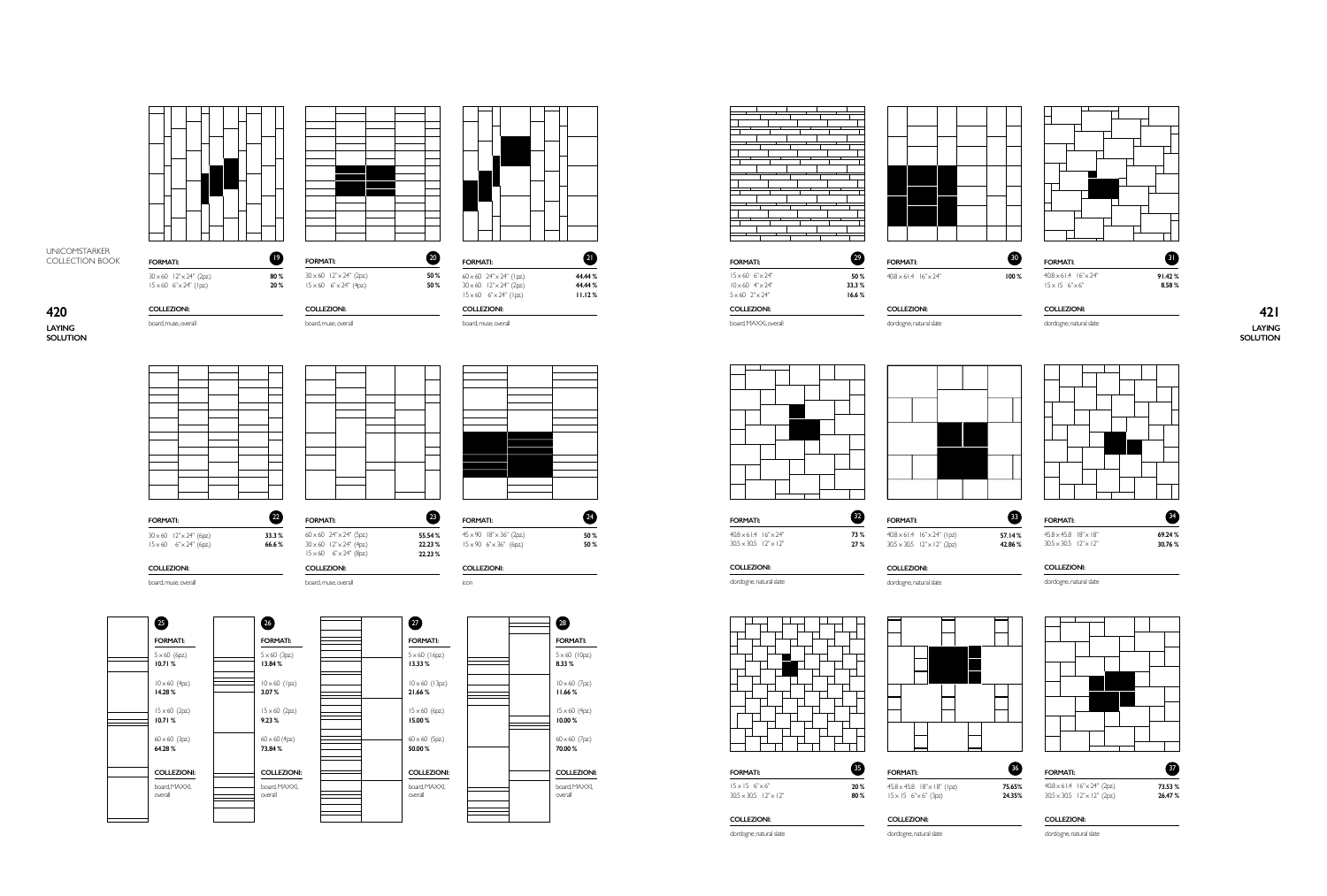**LAYING SOLUTION**

board. muse, overall



#### **73.53 % 26.47 %**  $\boldsymbol{0}$

**73 % 27 %**

 $40.8 \times 61.4$   $16'' \times 24''$  (1pz)  $30.5 \times 30.5$   $12" \times 12"$  (2pz)

dordogne, natural slate

**42.86 %**

dordogne, natural slate and the state of the state of the dordogne, natural slate

 $40.8 \times 61.4$   $16'' \times 24''$  $30.5 \times 30.5$  12"  $\times$  12" **FORMATI:**

| $45.8 \times 45.8$ $18" \times 18"$ | 69.24% |
|-------------------------------------|--------|
| $30.5 \times 30.5$ $12" \times 12"$ | 30.76% |

|--|

| 36 <sup>°</sup> |
|-----------------|
| 75.65%          |
| 24.35%          |
|                 |

dordogne, natural slate

#### **FORMATI:**

 $40.8 \times 61.4$   $16'' \times 24''$  (2pz)  $30.5 \times 30.5$   $12'' \times 12''$  (2pz)

#### **COLLEZIONI:**

dordogne, natural slate

**LAYING SOLUTION** <u>COLLEZIONI: COLLEZIONI: COLLEZIONI: COLLEZIONI: COLLEZIONI: COLLEZIONI: COLLEZIONI: COLLEZIONI: COLLEZIONI: COLLEZIONI: **421**</u>

**COLLEZIONI:**



**COLLEZIONI: COLLEZIONI:**



**COLLEZIONI:**

dordogne, natural slate **COLLEZIONI:**

**FORMATI: 55.54 % 22.23 % 22.23 %**  $45 \times 90$   $18'' \times 36''$  (2pz)  $15 \times 90$  6" $\times 36$ " (6pz)

board.muse.overall

 $\overline{60} \times 60$  24"  $\times$  24" (1 pz)  $30 \times 60$   $12" \times 24"$  (2pz)  $15 \times 60$   $6" \times 24"$  (lpz)

icon **COLLEZIONI:**

23



 $15 \times 60$  6" $\times 24$ "  $10 \times 60$  4" $\times 24$ "  $5 \times 60$   $2" \times 24"$ 

| 26                             |  |
|--------------------------------|--|
| <b>FORMATI:</b>                |  |
| $5 \times 60$ (3pz)            |  |
| 13.84%                         |  |
| $10 \times 60$ (Ipz)<br>3.07%  |  |
| $15 \times 60$ (2pz)           |  |
| 9.23%                          |  |
| $60 \times 60$ (4pz)<br>73.84% |  |
|                                |  |
| <b>COLLEZIONI:</b>             |  |
| board, MAXXI,<br>overall       |  |
|                                |  |

board, muse, overall

 $60 \times 60$  24" $\times$ 24" (5pz)  $30 \times 60$  12" $\times$ 24" (4pz)<br>15  $\times$  60 6" $\times$ 24" (8pz)

board, muse, overall **COLLEZIONI:**





24

 $\bf{a}$ **44.44 % 44.44 % 11.12 %**

**FORMATI:**  $30 \times 60$   $12" \times 24"$  (2pz)  $15 \times 60$  6" $\times 24$ " (1pz)



**FORMATI:**

board, muse, overall

 $30 \times 60$   $12" \times 24"$  (2pz)  $15 \times 60$   $6" \times 24"$  (4pz)

**COLLEZIONI:**

**50 % 50 %**

**33.3 % 66.6 %**

2

 $\bullet$ 

| <b>FORMATI:</b> |                                       |  |  |
|-----------------|---------------------------------------|--|--|
|                 | $30 \times 60$ $12" \times 24"$ (6pz) |  |  |
|                 | $15 \times 60$ $6" \times 24"$ (6pz)  |  |  |



**FORMATI:**

**COLLEZIONI:**

30

dordogne, natural slate



#### **COLLEZIONI:**

**50 % 33.3 % 16.6 %**

**FORMATI:**

board, MAXXi, overall

dordogne, natural slate

**COLLEZIONI:**

29

**FORMATI:**

**COLLEZIONI:**

**COLLEZIONI:**

 **80 % 20 %**

> 

**FORMATI:**

**COLLEZIONI:**

20 **50 % 50 %**